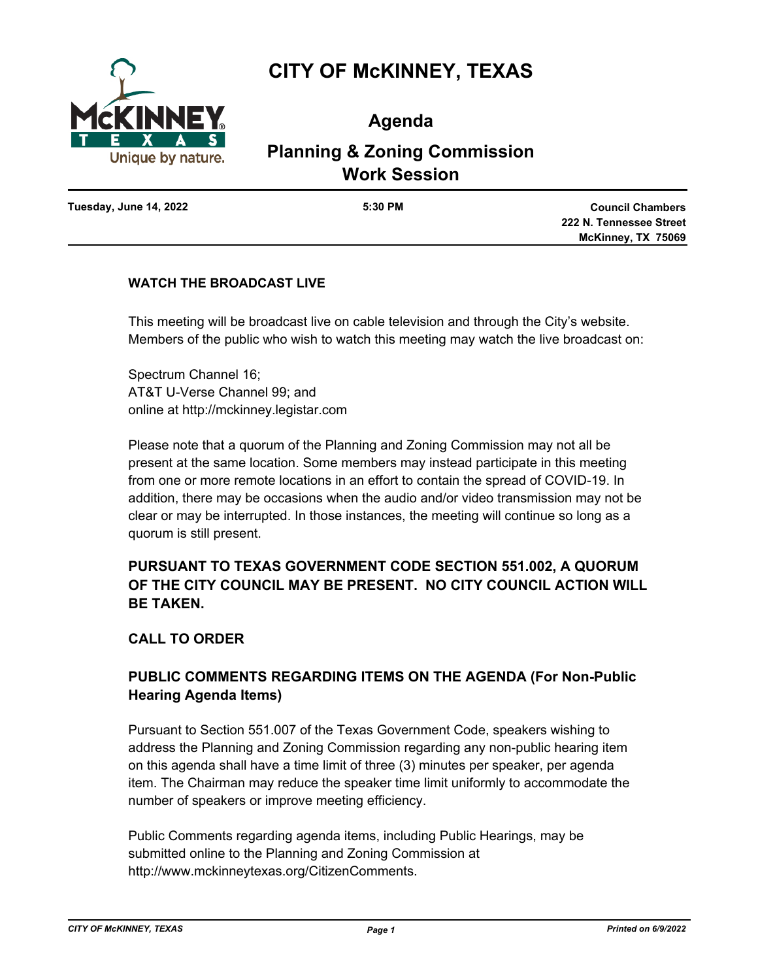

# **CITY OF McKINNEY, TEXAS**

**Agenda**

# **Planning & Zoning Commission Work Session**

**Tuesday, June 14, 2022 5:30 PM**

**Council Chambers 222 N. Tennessee Street McKinney, TX 75069**

## **WATCH THE BROADCAST LIVE**

This meeting will be broadcast live on cable television and through the City's website. Members of the public who wish to watch this meeting may watch the live broadcast on:

Spectrum Channel 16; AT&T U-Verse Channel 99; and online at http://mckinney.legistar.com

Please note that a quorum of the Planning and Zoning Commission may not all be present at the same location. Some members may instead participate in this meeting from one or more remote locations in an effort to contain the spread of COVID-19. In addition, there may be occasions when the audio and/or video transmission may not be clear or may be interrupted. In those instances, the meeting will continue so long as a quorum is still present.

## **PURSUANT TO TEXAS GOVERNMENT CODE SECTION 551.002, A QUORUM OF THE CITY COUNCIL MAY BE PRESENT. NO CITY COUNCIL ACTION WILL BE TAKEN.**

## **CALL TO ORDER**

## **PUBLIC COMMENTS REGARDING ITEMS ON THE AGENDA (For Non-Public Hearing Agenda Items)**

Pursuant to Section 551.007 of the Texas Government Code, speakers wishing to address the Planning and Zoning Commission regarding any non-public hearing item on this agenda shall have a time limit of three (3) minutes per speaker, per agenda item. The Chairman may reduce the speaker time limit uniformly to accommodate the number of speakers or improve meeting efficiency.

Public Comments regarding agenda items, including Public Hearings, may be submitted online to the Planning and Zoning Commission at http://www.mckinneytexas.org/CitizenComments.